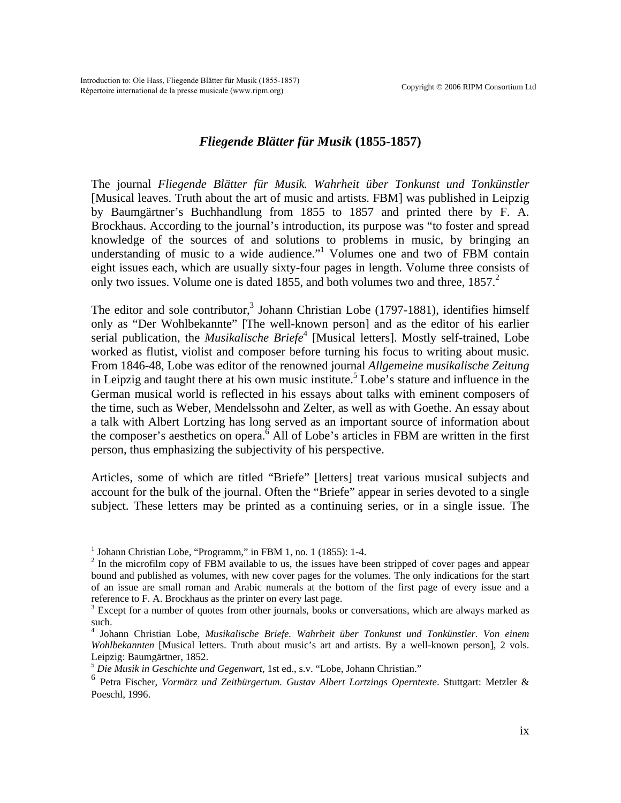## *Fliegende Blätter für Musik* **(1855-1857)**

The journal *Fliegende Blätter für Musik. Wahrheit über Tonkunst und Tonkünstler* [Musical leaves. Truth about the art of music and artists. FBM] was published in Leipzig by Baumgärtner's Buchhandlung from 1855 to 1857 and printed there by F. A. Brockhaus. According to the journal's introduction, its purpose was "to foster and spread knowledge of the sources of and solutions to problems in music, by bringing an understanding of music to a wide audience."<sup>[1](#page-0-0)</sup> Volumes one and two of FBM contain eight issues each, which are usually sixty-four pages in length. Volume three consists of only two issues. Volume one is dated 1855, and both volumes two and three,  $1857<sup>2</sup>$  $1857<sup>2</sup>$  $1857<sup>2</sup>$ 

The editor and sole contributor,<sup>[3](#page-0-2)</sup> Johann Christian Lobe (1797-1881), identifies himself only as "Der Wohlbekannte" [The well-known person] and as the editor of his earlier serial publication, the *Musikalische Briefe*<sup>[4](#page-0-3)</sup> [Musical letters]. Mostly self-trained, Lobe worked as flutist, violist and composer before turning his focus to writing about music. From 1846-48, Lobe was editor of the renowned journal *Allgemeine musikalische Zeitung* in Leipzig and taught there at his own music institute.<sup>[5](#page-0-4)</sup> Lobe's stature and influence in the German musical world is reflected in his essays about talks with eminent composers of the time, such as Weber, Mendelssohn and Zelter, as well as with Goethe. An essay about a talk with Albert Lortzing has long served as an important source of information about the composer's aesthetics on opera.<sup> $\overline{6}$  $\overline{6}$  $\overline{6}$ </sup> All of Lobe's articles in FBM are written in the first person, thus emphasizing the subjectivity of his perspective.

Articles, some of which are titled "Briefe" [letters] treat various musical subjects and account for the bulk of the journal. Often the "Briefe" appear in series devoted to a single subject. These letters may be printed as a continuing series, or in a single issue. The

<span id="page-0-0"></span><sup>&</sup>lt;sup>1</sup> Johann Christian Lobe, "Programm," in FBM 1, no. 1 (1855): 1-4.

<span id="page-0-1"></span> $2 \text{ In the microfilm copy of FBM available to us, the issues have been stripped of cover pages and appear.}$ bound and published as volumes, with new cover pages for the volumes. The only indications for the start of an issue are small roman and Arabic numerals at the bottom of the first page of every issue and a reference to F. A. Brockhaus as the printer on every last page.

<span id="page-0-2"></span><sup>&</sup>lt;sup>3</sup> Except for a number of quotes from other journals, books or conversations, which are always marked as such.

<span id="page-0-3"></span><sup>4</sup> Johann Christian Lobe, *Musikalische Briefe. Wahrheit über Tonkunst und Tonkünstler. Von einem Wohlbekannten* [Musical letters. Truth about music's art and artists. By a well-known person], 2 vols. Leipzig: Baumgärtner, 1852.

<span id="page-0-4"></span><sup>5</sup> *Die Musik in Geschichte und Gegenwart*, 1st ed., s.v. "Lobe, Johann Christian."

<span id="page-0-5"></span><sup>6</sup> Petra Fischer, *Vormärz und Zeitbürgertum. Gustav Albert Lortzings Operntexte*. Stuttgart: Metzler & Poeschl, 1996.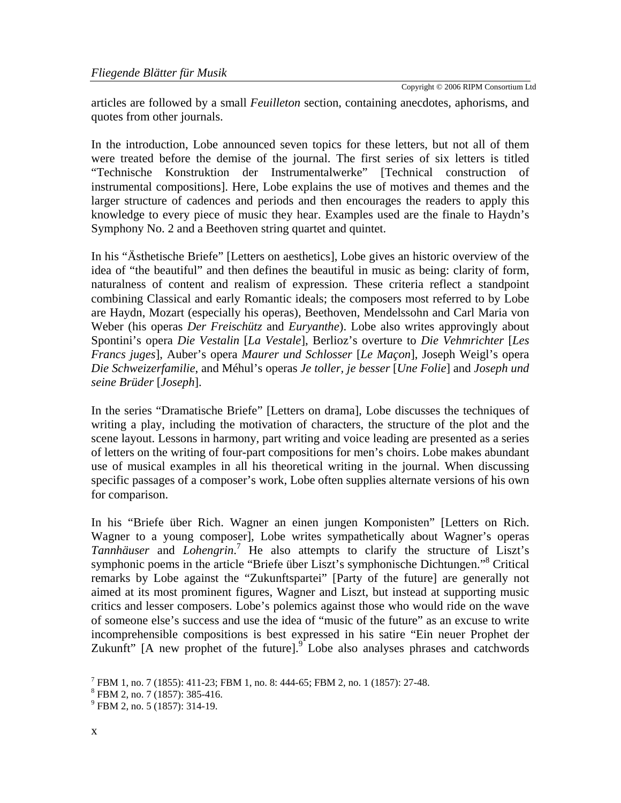Copyright © 2006 RIPM Consortium Ltd

articles are followed by a small *Feuilleton* section, containing anecdotes, aphorisms, and quotes from other journals.

In the introduction, Lobe announced seven topics for these letters, but not all of them were treated before the demise of the journal. The first series of six letters is titled "Technische Konstruktion der Instrumentalwerke" [Technical construction of instrumental compositions]. Here, Lobe explains the use of motives and themes and the larger structure of cadences and periods and then encourages the readers to apply this knowledge to every piece of music they hear. Examples used are the finale to Haydn's Symphony No. 2 and a Beethoven string quartet and quintet.

In his "Ästhetische Briefe" [Letters on aesthetics], Lobe gives an historic overview of the idea of "the beautiful" and then defines the beautiful in music as being: clarity of form, naturalness of content and realism of expression. These criteria reflect a standpoint combining Classical and early Romantic ideals; the composers most referred to by Lobe are Haydn, Mozart (especially his operas), Beethoven, Mendelssohn and Carl Maria von Weber (his operas *Der Freischütz* and *Euryanthe*). Lobe also writes approvingly about Spontini's opera *Die Vestalin* [*La Vestale*], Berlioz's overture to *Die Vehmrichter* [*Les Francs juges*], Auber's opera *Maurer und Schlosser* [*Le Maçon*], Joseph Weigl's opera *Die Schweizerfamilie*, and Méhul's operas *Je toller, je besser* [*Une Folie*] and *Joseph und seine Brüder* [*Joseph*].

In the series "Dramatische Briefe" [Letters on drama], Lobe discusses the techniques of writing a play, including the motivation of characters, the structure of the plot and the scene layout. Lessons in harmony, part writing and voice leading are presented as a series of letters on the writing of four-part compositions for men's choirs. Lobe makes abundant use of musical examples in all his theoretical writing in the journal. When discussing specific passages of a composer's work, Lobe often supplies alternate versions of his own for comparison.

In his "Briefe über Rich. Wagner an einen jungen Komponisten" [Letters on Rich. Wagner to a young composer], Lobe writes sympathetically about Wagner's operas Tannhäuser and *Lohengrin*.<sup>[7](#page-1-0)</sup> He also attempts to clarify the structure of Liszt's symphonic poems in the article "Briefe über Liszt's symphonische Dichtungen."<sup>[8](#page-1-1)</sup> Critical remarks by Lobe against the "Zukunftspartei" [Party of the future] are generally not aimed at its most prominent figures, Wagner and Liszt, but instead at supporting music critics and lesser composers. Lobe's polemics against those who would ride on the wave of someone else's success and use the idea of "music of the future" as an excuse to write incomprehensible compositions is best expressed in his satire "Ein neuer Prophet der Zukunft" [A new prophet of the future]. $\int_{0}^{9}$  $\int_{0}^{9}$  $\int_{0}^{9}$  Lobe also analyses phrases and catchwords

<span id="page-1-0"></span><sup>7</sup> FBM 1, no. 7 (1855): 411-23; FBM 1, no. 8: 444-65; FBM 2, no. 1 (1857): 27-48.

<span id="page-1-1"></span><sup>8</sup> FBM 2, no. 7 (1857): 385-416.

<span id="page-1-2"></span><sup>&</sup>lt;sup>9</sup> FBM 2, no. 5 (1857): 314-19.